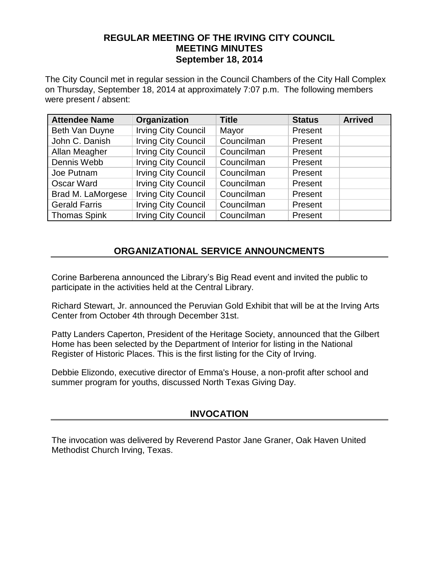## **REGULAR MEETING OF THE IRVING CITY COUNCIL MEETING MINUTES September 18, 2014**

The City Council met in regular session in the Council Chambers of the City Hall Complex on Thursday, September 18, 2014 at approximately 7:07 p.m. The following members were present / absent:

| <b>Attendee Name</b> | Organization               | <b>Title</b> | <b>Status</b> | <b>Arrived</b> |
|----------------------|----------------------------|--------------|---------------|----------------|
| Beth Van Duyne       | <b>Irving City Council</b> | Mayor        | Present       |                |
| John C. Danish       | <b>Irving City Council</b> | Councilman   | Present       |                |
| Allan Meagher        | <b>Irving City Council</b> | Councilman   | Present       |                |
| Dennis Webb          | <b>Irving City Council</b> | Councilman   | Present       |                |
| Joe Putnam           | <b>Irving City Council</b> | Councilman   | Present       |                |
| <b>Oscar Ward</b>    | <b>Irving City Council</b> | Councilman   | Present       |                |
| Brad M. LaMorgese    | <b>Irving City Council</b> | Councilman   | Present       |                |
| <b>Gerald Farris</b> | <b>Irving City Council</b> | Councilman   | Present       |                |
| <b>Thomas Spink</b>  | <b>Irving City Council</b> | Councilman   | Present       |                |

# **ORGANIZATIONAL SERVICE ANNOUNCMENTS**

Corine Barberena announced the Library's Big Read event and invited the public to participate in the activities held at the Central Library.

Richard Stewart, Jr. announced the Peruvian Gold Exhibit that will be at the Irving Arts Center from October 4th through December 31st.

Patty Landers Caperton, President of the Heritage Society, announced that the Gilbert Home has been selected by the Department of Interior for listing in the National Register of Historic Places. This is the first listing for the City of Irving.

Debbie Elizondo, executive director of Emma's House, a non-profit after school and summer program for youths, discussed North Texas Giving Day.

## **INVOCATION**

The invocation was delivered by Reverend Pastor Jane Graner, Oak Haven United Methodist Church Irving, Texas.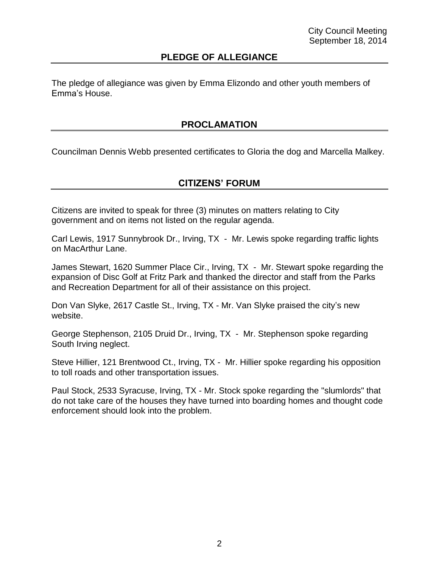## **PLEDGE OF ALLEGIANCE**

The pledge of allegiance was given by Emma Elizondo and other youth members of Emma's House.

## **PROCLAMATION**

Councilman Dennis Webb presented certificates to Gloria the dog and Marcella Malkey.

### **CITIZENS' FORUM**

Citizens are invited to speak for three (3) minutes on matters relating to City government and on items not listed on the regular agenda.

Carl Lewis, 1917 Sunnybrook Dr., Irving, TX - Mr. Lewis spoke regarding traffic lights on MacArthur Lane.

James Stewart, 1620 Summer Place Cir., Irving, TX - Mr. Stewart spoke regarding the expansion of Disc Golf at Fritz Park and thanked the director and staff from the Parks and Recreation Department for all of their assistance on this project.

Don Van Slyke, 2617 Castle St., Irving, TX - Mr. Van Slyke praised the city's new website.

George Stephenson, 2105 Druid Dr., Irving, TX - Mr. Stephenson spoke regarding South Irving neglect.

Steve Hillier, 121 Brentwood Ct., Irving, TX - Mr. Hillier spoke regarding his opposition to toll roads and other transportation issues.

Paul Stock, 2533 Syracuse, Irving, TX - Mr. Stock spoke regarding the "slumlords" that do not take care of the houses they have turned into boarding homes and thought code enforcement should look into the problem.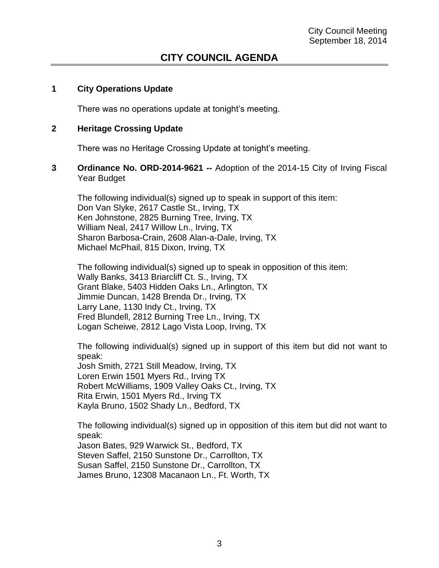## **CITY COUNCIL AGENDA**

### **1 City Operations Update**

There was no operations update at tonight's meeting.

### **2 Heritage Crossing Update**

There was no Heritage Crossing Update at tonight's meeting.

**3 Ordinance No. ORD-2014-9621 --** Adoption of the 2014-15 City of Irving Fiscal Year Budget

The following individual(s) signed up to speak in support of this item: Don Van Slyke, 2617 Castle St., Irving, TX Ken Johnstone, 2825 Burning Tree, Irving, TX William Neal, 2417 Willow Ln., Irving, TX Sharon Barbosa-Crain, 2608 Alan-a-Dale, Irving, TX Michael McPhail, 815 Dixon, Irving, TX

The following individual(s) signed up to speak in opposition of this item: Wally Banks, 3413 Briarcliff Ct. S., Irving, TX Grant Blake, 5403 Hidden Oaks Ln., Arlington, TX Jimmie Duncan, 1428 Brenda Dr., Irving, TX Larry Lane, 1130 Indy Ct., Irving, TX Fred Blundell, 2812 Burning Tree Ln., Irving, TX Logan Scheiwe, 2812 Lago Vista Loop, Irving, TX

The following individual(s) signed up in support of this item but did not want to speak: Josh Smith, 2721 Still Meadow, Irving, TX Loren Erwin 1501 Myers Rd., Irving TX Robert McWilliams, 1909 Valley Oaks Ct., Irving, TX Rita Erwin, 1501 Myers Rd., Irving TX Kayla Bruno, 1502 Shady Ln., Bedford, TX

The following individual(s) signed up in opposition of this item but did not want to speak:

Jason Bates, 929 Warwick St., Bedford, TX Steven Saffel, 2150 Sunstone Dr., Carrollton, TX Susan Saffel, 2150 Sunstone Dr., Carrollton, TX James Bruno, 12308 Macanaon Ln., Ft. Worth, TX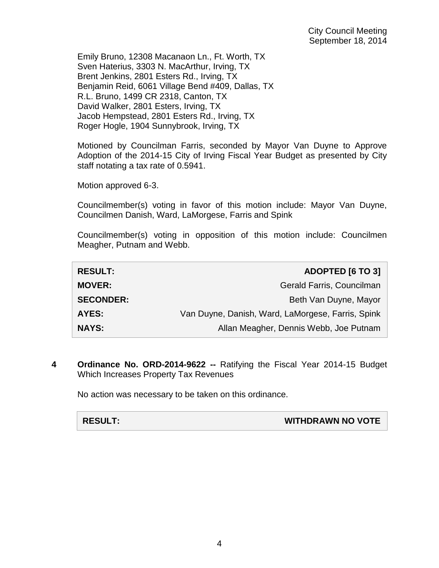Emily Bruno, 12308 Macanaon Ln., Ft. Worth, TX Sven Haterius, 3303 N. MacArthur, Irving, TX Brent Jenkins, 2801 Esters Rd., Irving, TX Benjamin Reid, 6061 Village Bend #409, Dallas, TX R.L. Bruno, 1499 CR 2318, Canton, TX David Walker, 2801 Esters, Irving, TX Jacob Hempstead, 2801 Esters Rd., Irving, TX Roger Hogle, 1904 Sunnybrook, Irving, TX

Motioned by Councilman Farris, seconded by Mayor Van Duyne to Approve Adoption of the 2014-15 City of Irving Fiscal Year Budget as presented by City staff notating a tax rate of 0.5941.

Motion approved 6-3.

Councilmember(s) voting in favor of this motion include: Mayor Van Duyne, Councilmen Danish, Ward, LaMorgese, Farris and Spink

Councilmember(s) voting in opposition of this motion include: Councilmen Meagher, Putnam and Webb.

| <b>RESULT:</b>   | <b>ADOPTED [6 TO 3]</b>                           |
|------------------|---------------------------------------------------|
| <b>MOVER:</b>    | Gerald Farris, Councilman                         |
| <b>SECONDER:</b> | Beth Van Duyne, Mayor                             |
| <b>AYES:</b>     | Van Duyne, Danish, Ward, LaMorgese, Farris, Spink |
| <b>NAYS:</b>     | Allan Meagher, Dennis Webb, Joe Putnam            |

**4 Ordinance No. ORD-2014-9622 --** Ratifying the Fiscal Year 2014-15 Budget Which Increases Property Tax Revenues

No action was necessary to be taken on this ordinance.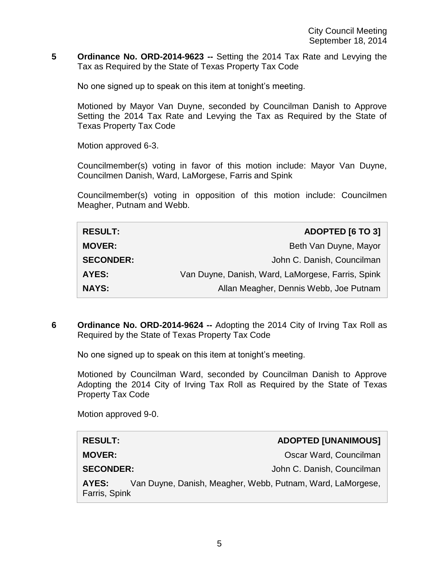**5 Ordinance No. ORD-2014-9623 --** Setting the 2014 Tax Rate and Levying the Tax as Required by the State of Texas Property Tax Code

No one signed up to speak on this item at tonight's meeting.

Motioned by Mayor Van Duyne, seconded by Councilman Danish to Approve Setting the 2014 Tax Rate and Levying the Tax as Required by the State of Texas Property Tax Code

Motion approved 6-3.

Councilmember(s) voting in favor of this motion include: Mayor Van Duyne, Councilmen Danish, Ward, LaMorgese, Farris and Spink

Councilmember(s) voting in opposition of this motion include: Councilmen Meagher, Putnam and Webb.

| <b>RESULT:</b>   | <b>ADOPTED [6 TO 3]</b>                           |
|------------------|---------------------------------------------------|
| <b>MOVER:</b>    | Beth Van Duyne, Mayor                             |
| <b>SECONDER:</b> | John C. Danish, Councilman                        |
| <b>AYES:</b>     | Van Duyne, Danish, Ward, LaMorgese, Farris, Spink |
| <b>NAYS:</b>     | Allan Meagher, Dennis Webb, Joe Putnam            |

**6 Ordinance No. ORD-2014-9624 --** Adopting the 2014 City of Irving Tax Roll as Required by the State of Texas Property Tax Code

No one signed up to speak on this item at tonight's meeting.

Motioned by Councilman Ward, seconded by Councilman Danish to Approve Adopting the 2014 City of Irving Tax Roll as Required by the State of Texas Property Tax Code

Motion approved 9-0.

| <b>RESULT:</b>         | <b>ADOPTED [UNANIMOUS]</b>                                 |
|------------------------|------------------------------------------------------------|
| <b>MOVER:</b>          | Oscar Ward, Councilman                                     |
| <b>SECONDER:</b>       | John C. Danish, Councilman                                 |
| AYES:<br>Farris, Spink | Van Duyne, Danish, Meagher, Webb, Putnam, Ward, LaMorgese, |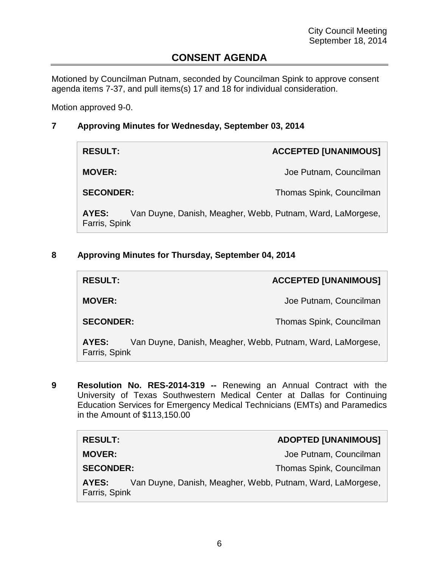# **CONSENT AGENDA**

Motioned by Councilman Putnam, seconded by Councilman Spink to approve consent agenda items 7-37, and pull items(s) 17 and 18 for individual consideration.

Motion approved 9-0.

### **7 Approving Minutes for Wednesday, September 03, 2014**

| <b>RESULT:</b>         | <b>ACCEPTED [UNANIMOUS]</b>                                |
|------------------------|------------------------------------------------------------|
| <b>MOVER:</b>          | Joe Putnam, Councilman                                     |
| <b>SECONDER:</b>       | Thomas Spink, Councilman                                   |
| AYES:<br>Farris, Spink | Van Duyne, Danish, Meagher, Webb, Putnam, Ward, LaMorgese, |

### **8 Approving Minutes for Thursday, September 04, 2014**

| <b>RESULT:</b>         |                                                            | <b>ACCEPTED [UNANIMOUS]</b> |
|------------------------|------------------------------------------------------------|-----------------------------|
| <b>MOVER:</b>          |                                                            | Joe Putnam, Councilman      |
| <b>SECONDER:</b>       |                                                            | Thomas Spink, Councilman    |
| AYES:<br>Farris, Spink | Van Duyne, Danish, Meagher, Webb, Putnam, Ward, LaMorgese, |                             |

**9 Resolution No. RES-2014-319 --** Renewing an Annual Contract with the University of Texas Southwestern Medical Center at Dallas for Continuing Education Services for Emergency Medical Technicians (EMTs) and Paramedics in the Amount of \$113,150.00

| <b>RESULT:</b>                                                                       | <b>ADOPTED [UNANIMOUS]</b> |
|--------------------------------------------------------------------------------------|----------------------------|
| <b>MOVER:</b>                                                                        | Joe Putnam, Councilman     |
| <b>SECONDER:</b>                                                                     | Thomas Spink, Councilman   |
| Van Duyne, Danish, Meagher, Webb, Putnam, Ward, LaMorgese,<br>AYES:<br>Farris, Spink |                            |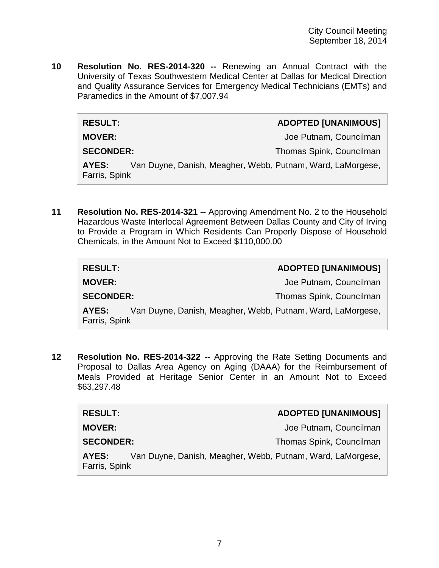**10 Resolution No. RES-2014-320 --** Renewing an Annual Contract with the University of Texas Southwestern Medical Center at Dallas for Medical Direction and Quality Assurance Services for Emergency Medical Technicians (EMTs) and Paramedics in the Amount of \$7,007.94

### **RESULT: ADOPTED [UNANIMOUS]**

**MOVER: MOVER: Joe Putnam, Councilman** 

**SECONDER:** Thomas Spink, Councilman

**AYES:** Van Duyne, Danish, Meagher, Webb, Putnam, Ward, LaMorgese, Farris, Spink

**11 Resolution No. RES-2014-321 --** Approving Amendment No. 2 to the Household Hazardous Waste Interlocal Agreement Between Dallas County and City of Irving to Provide a Program in Which Residents Can Properly Dispose of Household Chemicals, in the Amount Not to Exceed \$110,000.00

| <b>RESULT:</b>                                                                       | <b>ADOPTED [UNANIMOUS]</b> |
|--------------------------------------------------------------------------------------|----------------------------|
| <b>MOVER:</b>                                                                        | Joe Putnam, Councilman     |
| <b>SECONDER:</b>                                                                     | Thomas Spink, Councilman   |
| Van Duyne, Danish, Meagher, Webb, Putnam, Ward, LaMorgese,<br>AYES:<br>Farris, Spink |                            |

**12 Resolution No. RES-2014-322 --** Approving the Rate Setting Documents and Proposal to Dallas Area Agency on Aging (DAAA) for the Reimbursement of Meals Provided at Heritage Senior Center in an Amount Not to Exceed \$63,297.48

| <b>RESULT:</b>                                                                       | <b>ADOPTED [UNANIMOUS]</b> |
|--------------------------------------------------------------------------------------|----------------------------|
| <b>MOVER:</b>                                                                        | Joe Putnam, Councilman     |
| <b>SECONDER:</b>                                                                     | Thomas Spink, Councilman   |
| Van Duyne, Danish, Meagher, Webb, Putnam, Ward, LaMorgese,<br>AYES:<br>Farris, Spink |                            |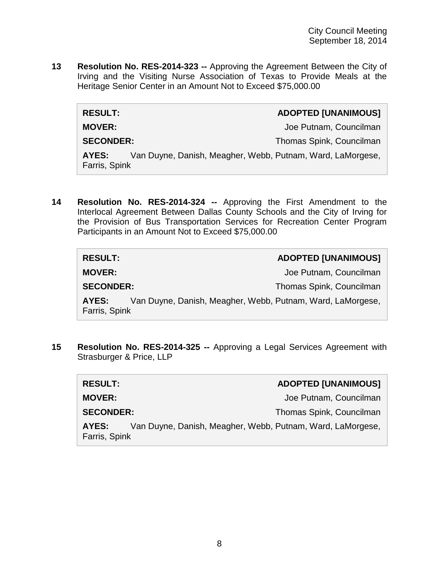**13 Resolution No. RES-2014-323 --** Approving the Agreement Between the City of Irving and the Visiting Nurse Association of Texas to Provide Meals at the Heritage Senior Center in an Amount Not to Exceed \$75,000.00

| <b>ADOPTED [UNANIMOUS]</b> |
|----------------------------|
|                            |

 $RESULT:$ 

**MOVER: MOVER: Joe Putnam, Councilman** 

**SECONDER:** Thomas Spink, Councilman

**AYES:** Van Duyne, Danish, Meagher, Webb, Putnam, Ward, LaMorgese, Farris, Spink

**14 Resolution No. RES-2014-324 --** Approving the First Amendment to the Interlocal Agreement Between Dallas County Schools and the City of Irving for the Provision of Bus Transportation Services for Recreation Center Program Participants in an Amount Not to Exceed \$75,000.00

| <b>RESULT:</b>                                                                       | <b>ADOPTED [UNANIMOUS]</b> |
|--------------------------------------------------------------------------------------|----------------------------|
| <b>MOVER:</b>                                                                        | Joe Putnam, Councilman     |
| <b>SECONDER:</b>                                                                     | Thomas Spink, Councilman   |
| Van Duyne, Danish, Meagher, Webb, Putnam, Ward, LaMorgese,<br>AYES:<br>Farris, Spink |                            |

**15 Resolution No. RES-2014-325 --** Approving a Legal Services Agreement with Strasburger & Price, LLP

| <b>RESULT:</b>         | <b>ADOPTED [UNANIMOUS]</b>                                 |
|------------------------|------------------------------------------------------------|
| <b>MOVER:</b>          | Joe Putnam, Councilman                                     |
| <b>SECONDER:</b>       | Thomas Spink, Councilman                                   |
| AYES:<br>Farris, Spink | Van Duyne, Danish, Meagher, Webb, Putnam, Ward, LaMorgese, |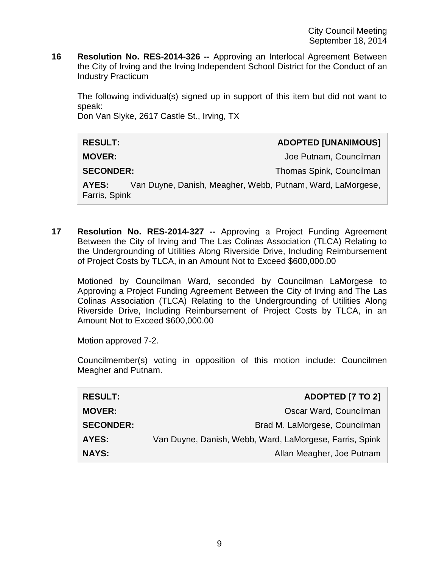**16 Resolution No. RES-2014-326 --** Approving an Interlocal Agreement Between the City of Irving and the Irving Independent School District for the Conduct of an Industry Practicum

The following individual(s) signed up in support of this item but did not want to speak:

Don Van Slyke, 2617 Castle St., Irving, TX

| <b>RESULT:</b>         |                                                            | <b>ADOPTED [UNANIMOUS]</b> |
|------------------------|------------------------------------------------------------|----------------------------|
| <b>MOVER:</b>          |                                                            | Joe Putnam, Councilman     |
| <b>SECONDER:</b>       |                                                            | Thomas Spink, Councilman   |
| AYES:<br>Farris, Spink | Van Duyne, Danish, Meagher, Webb, Putnam, Ward, LaMorgese, |                            |

**17 Resolution No. RES-2014-327 --** Approving a Project Funding Agreement Between the City of Irving and The Las Colinas Association (TLCA) Relating to the Undergrounding of Utilities Along Riverside Drive, Including Reimbursement of Project Costs by TLCA, in an Amount Not to Exceed \$600,000.00

Motioned by Councilman Ward, seconded by Councilman LaMorgese to Approving a Project Funding Agreement Between the City of Irving and The Las Colinas Association (TLCA) Relating to the Undergrounding of Utilities Along Riverside Drive, Including Reimbursement of Project Costs by TLCA, in an Amount Not to Exceed \$600,000.00

Motion approved 7-2.

Councilmember(s) voting in opposition of this motion include: Councilmen Meagher and Putnam.

| <b>RESULT:</b>   | <b>ADOPTED [7 TO 2]</b>                                 |
|------------------|---------------------------------------------------------|
| <b>MOVER:</b>    | Oscar Ward, Councilman                                  |
| <b>SECONDER:</b> | Brad M. LaMorgese, Councilman                           |
| AYES:            | Van Duyne, Danish, Webb, Ward, LaMorgese, Farris, Spink |
| <b>NAYS:</b>     | Allan Meagher, Joe Putnam                               |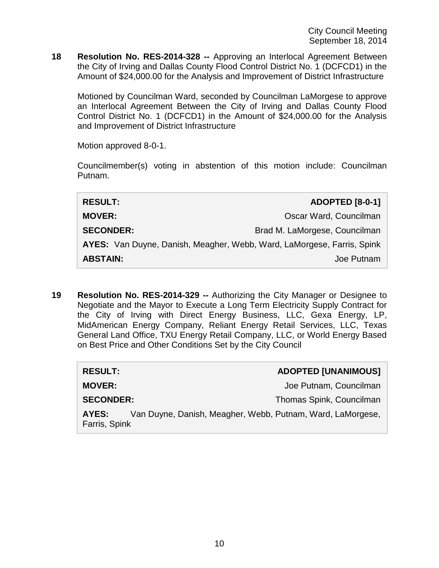City Council Meeting September 18, 2014

**18 Resolution No. RES-2014-328 --** Approving an Interlocal Agreement Between the City of Irving and Dallas County Flood Control District No. 1 (DCFCD1) in the Amount of \$24,000.00 for the Analysis and Improvement of District Infrastructure

Motioned by Councilman Ward, seconded by Councilman LaMorgese to approve an Interlocal Agreement Between the City of Irving and Dallas County Flood Control District No. 1 (DCFCD1) in the Amount of \$24,000.00 for the Analysis and Improvement of District Infrastructure

Motion approved 8-0-1.

Councilmember(s) voting in abstention of this motion include: Councilman Putnam.

| <b>RESULT:</b>                                                         | <b>ADOPTED [8-0-1]</b>        |
|------------------------------------------------------------------------|-------------------------------|
| <b>MOVER:</b>                                                          | Oscar Ward, Councilman        |
| <b>SECONDER:</b>                                                       | Brad M. LaMorgese, Councilman |
| AYES: Van Duyne, Danish, Meagher, Webb, Ward, LaMorgese, Farris, Spink |                               |
| <b>ABSTAIN:</b>                                                        | Joe Putnam                    |

**19 Resolution No. RES-2014-329 --** Authorizing the City Manager or Designee to Negotiate and the Mayor to Execute a Long Term Electricity Supply Contract for the City of Irving with Direct Energy Business, LLC, Gexa Energy, LP, MidAmerican Energy Company, Reliant Energy Retail Services, LLC, Texas General Land Office, TXU Energy Retail Company, LLC, or World Energy Based on Best Price and Other Conditions Set by the City Council

| <b>RESULT:</b>         | <b>ADOPTED [UNANIMOUS]</b>                                 |
|------------------------|------------------------------------------------------------|
| <b>MOVER:</b>          | Joe Putnam, Councilman                                     |
| <b>SECONDER:</b>       | Thomas Spink, Councilman                                   |
| AYES:<br>Farris, Spink | Van Duyne, Danish, Meagher, Webb, Putnam, Ward, LaMorgese, |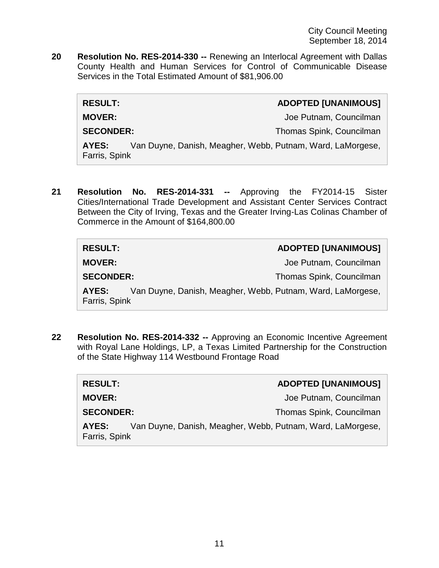**20 Resolution No. RES-2014-330 --** Renewing an Interlocal Agreement with Dallas County Health and Human Services for Control of Communicable Disease Services in the Total Estimated Amount of \$81,906.00

| <b>RESULT:</b>                                                                       | <b>ADOPTED [UNANIMOUS]</b> |
|--------------------------------------------------------------------------------------|----------------------------|
| <b>MOVER:</b>                                                                        | Joe Putnam, Councilman     |
| <b>SECONDER:</b>                                                                     | Thomas Spink, Councilman   |
| Van Duyne, Danish, Meagher, Webb, Putnam, Ward, LaMorgese,<br>AYES:<br>Farris, Spink |                            |

**21 Resolution No. RES-2014-331 --** Approving the FY2014-15 Sister Cities/International Trade Development and Assistant Center Services Contract Between the City of Irving, Texas and the Greater Irving-Las Colinas Chamber of Commerce in the Amount of \$164,800.00

| <b>RESULT:</b>                                                                       | <b>ADOPTED [UNANIMOUS]</b> |
|--------------------------------------------------------------------------------------|----------------------------|
| <b>MOVER:</b>                                                                        | Joe Putnam, Councilman     |
| <b>SECONDER:</b>                                                                     | Thomas Spink, Councilman   |
| Van Duyne, Danish, Meagher, Webb, Putnam, Ward, LaMorgese,<br>AYES:<br>Farris, Spink |                            |

**22 Resolution No. RES-2014-332 --** Approving an Economic Incentive Agreement with Royal Lane Holdings, LP, a Texas Limited Partnership for the Construction of the State Highway 114 Westbound Frontage Road

| <b>RESULT:</b>         | <b>ADOPTED [UNANIMOUS]</b>                                 |
|------------------------|------------------------------------------------------------|
| <b>MOVER:</b>          | Joe Putnam, Councilman                                     |
| <b>SECONDER:</b>       | Thomas Spink, Councilman                                   |
| AYES:<br>Farris, Spink | Van Duyne, Danish, Meagher, Webb, Putnam, Ward, LaMorgese, |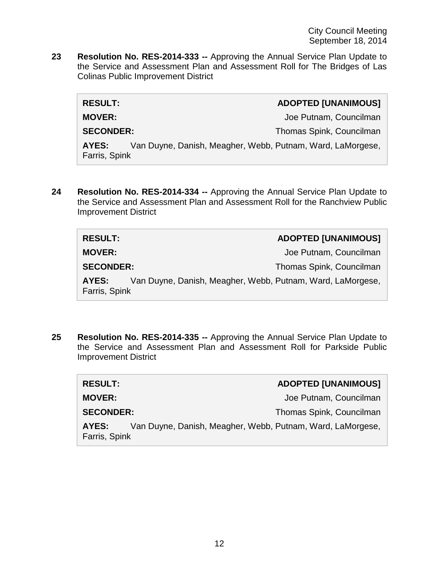**23 Resolution No. RES-2014-333 --** Approving the Annual Service Plan Update to the Service and Assessment Plan and Assessment Roll for The Bridges of Las Colinas Public Improvement District

| <b>RESULT:</b>         |                                                            | <b>ADOPTED [UNANIMOUS]</b> |
|------------------------|------------------------------------------------------------|----------------------------|
| <b>MOVER:</b>          |                                                            | Joe Putnam, Councilman     |
| <b>SECONDER:</b>       |                                                            | Thomas Spink, Councilman   |
| AYES:<br>Farris, Spink | Van Duyne, Danish, Meagher, Webb, Putnam, Ward, LaMorgese, |                            |
|                        |                                                            |                            |

**24 Resolution No. RES-2014-334 --** Approving the Annual Service Plan Update to the Service and Assessment Plan and Assessment Roll for the Ranchview Public Improvement District

| <b>RESULT:</b>         |                                                            | <b>ADOPTED [UNANIMOUS]</b> |
|------------------------|------------------------------------------------------------|----------------------------|
| <b>MOVER:</b>          |                                                            | Joe Putnam, Councilman     |
| <b>SECONDER:</b>       |                                                            | Thomas Spink, Councilman   |
| AYES:<br>Farris, Spink | Van Duyne, Danish, Meagher, Webb, Putnam, Ward, LaMorgese, |                            |

**25 Resolution No. RES-2014-335 --** Approving the Annual Service Plan Update to the Service and Assessment Plan and Assessment Roll for Parkside Public Improvement District

| <b>RESULT:</b>                                                                       | <b>ADOPTED [UNANIMOUS]</b> |
|--------------------------------------------------------------------------------------|----------------------------|
| <b>MOVER:</b>                                                                        | Joe Putnam, Councilman     |
| <b>SECONDER:</b>                                                                     | Thomas Spink, Councilman   |
| Van Duyne, Danish, Meagher, Webb, Putnam, Ward, LaMorgese,<br>AYES:<br>Farris, Spink |                            |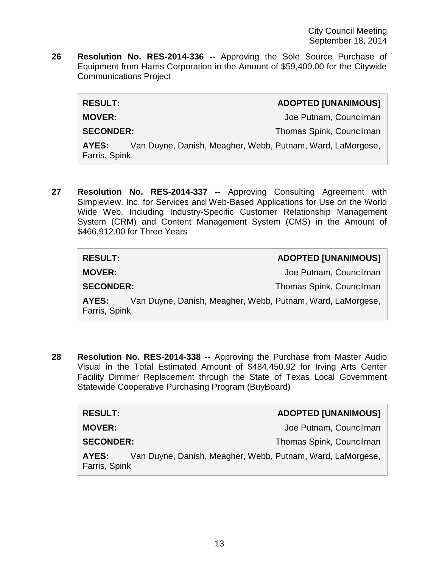**26 Resolution No. RES-2014-336 --** Approving the Sole Source Purchase of Equipment from Harris Corporation in the Amount of \$59,400.00 for the Citywide Communications Project

| <b>RESULT:</b>         |                                                            | <b>ADOPTED [UNANIMOUS]</b> |
|------------------------|------------------------------------------------------------|----------------------------|
| <b>MOVER:</b>          |                                                            | Joe Putnam, Councilman     |
| <b>SECONDER:</b>       |                                                            | Thomas Spink, Councilman   |
| AYES:<br>Farris, Spink | Van Duyne, Danish, Meagher, Webb, Putnam, Ward, LaMorgese, |                            |
|                        |                                                            |                            |

**27 Resolution No. RES-2014-337 --** Approving Consulting Agreement with Simpleview, Inc. for Services and Web-Based Applications for Use on the World Wide Web, Including Industry-Specific Customer Relationship Management System (CRM) and Content Management System (CMS) in the Amount of \$466,912.00 for Three Years

| <b>RESULT:</b>         | <b>ADOPTED [UNANIMOUS]</b>                                 |
|------------------------|------------------------------------------------------------|
| <b>MOVER:</b>          | Joe Putnam, Councilman                                     |
| <b>SECONDER:</b>       | Thomas Spink, Councilman                                   |
| AYES:<br>Farris, Spink | Van Duyne, Danish, Meagher, Webb, Putnam, Ward, LaMorgese, |

**28 Resolution No. RES-2014-338 --** Approving the Purchase from Master Audio Visual in the Total Estimated Amount of \$484,450.92 for Irving Arts Center Facility Dimmer Replacement through the State of Texas Local Government Statewide Cooperative Purchasing Program (BuyBoard)

| <b>RESULT:</b>         |                                                            | <b>ADOPTED [UNANIMOUS]</b> |
|------------------------|------------------------------------------------------------|----------------------------|
| <b>MOVER:</b>          |                                                            | Joe Putnam, Councilman     |
| <b>SECONDER:</b>       |                                                            | Thomas Spink, Councilman   |
| AYES:<br>Farris, Spink | Van Duyne, Danish, Meagher, Webb, Putnam, Ward, LaMorgese, |                            |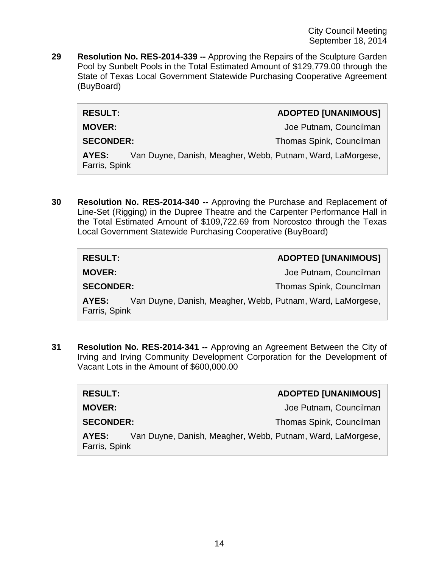City Council Meeting September 18, 2014

**29 Resolution No. RES-2014-339 --** Approving the Repairs of the Sculpture Garden Pool by Sunbelt Pools in the Total Estimated Amount of \$129,779.00 through the State of Texas Local Government Statewide Purchasing Cooperative Agreement (BuyBoard)

|  | <b>ADOPTED [UNANIMOUS]</b> |
|--|----------------------------|
|  |                            |

 $RESULT:$ 

**MOVER: MOVER: Joe Putnam, Councilman** 

**SECONDER:** Thomas Spink, Councilman

**AYES:** Van Duyne, Danish, Meagher, Webb, Putnam, Ward, LaMorgese, Farris, Spink

**30 Resolution No. RES-2014-340 --** Approving the Purchase and Replacement of Line-Set (Rigging) in the Dupree Theatre and the Carpenter Performance Hall in the Total Estimated Amount of \$109,722.69 from Norcostco through the Texas Local Government Statewide Purchasing Cooperative (BuyBoard)

| <b>RESULT:</b>         | <b>ADOPTED [UNANIMOUS]</b>                                 |
|------------------------|------------------------------------------------------------|
| <b>MOVER:</b>          | Joe Putnam, Councilman                                     |
| <b>SECONDER:</b>       | Thomas Spink, Councilman                                   |
| AYES:<br>Farris, Spink | Van Duyne, Danish, Meagher, Webb, Putnam, Ward, LaMorgese, |

**31 Resolution No. RES-2014-341 --** Approving an Agreement Between the City of Irving and Irving Community Development Corporation for the Development of Vacant Lots in the Amount of \$600,000.00

| <b>RESULT:</b>         | <b>ADOPTED [UNANIMOUS]</b>                                 |
|------------------------|------------------------------------------------------------|
| <b>MOVER:</b>          | Joe Putnam, Councilman                                     |
| <b>SECONDER:</b>       | Thomas Spink, Councilman                                   |
| AYES:<br>Farris, Spink | Van Duyne, Danish, Meagher, Webb, Putnam, Ward, LaMorgese, |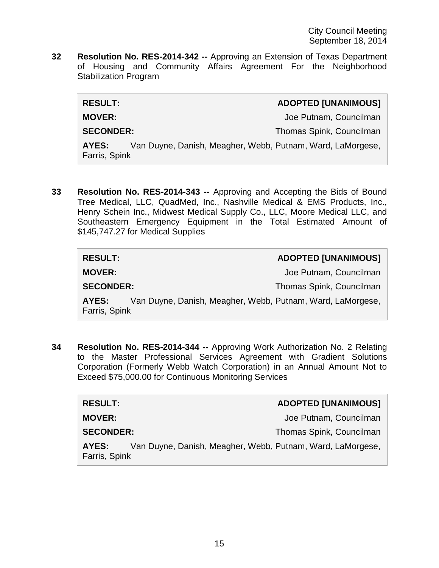**32 Resolution No. RES-2014-342 --** Approving an Extension of Texas Department of Housing and Community Affairs Agreement For the Neighborhood Stabilization Program

| <b>RESULT:</b>                                                                       | <b>ADOPTED [UNANIMOUS]</b> |
|--------------------------------------------------------------------------------------|----------------------------|
| <b>MOVER:</b>                                                                        | Joe Putnam, Councilman     |
| <b>SECONDER:</b>                                                                     | Thomas Spink, Councilman   |
| Van Duyne, Danish, Meagher, Webb, Putnam, Ward, LaMorgese,<br>AYES:<br>Farris, Spink |                            |

**33 Resolution No. RES-2014-343 --** Approving and Accepting the Bids of Bound Tree Medical, LLC, QuadMed, Inc., Nashville Medical & EMS Products, Inc., Henry Schein Inc., Midwest Medical Supply Co., LLC, Moore Medical LLC, and Southeastern Emergency Equipment in the Total Estimated Amount of \$145,747.27 for Medical Supplies

| <b>RESULT:</b>         | <b>ADOPTED [UNANIMOUS]</b>                                 |
|------------------------|------------------------------------------------------------|
| <b>MOVER:</b>          | Joe Putnam, Councilman                                     |
| <b>SECONDER:</b>       | Thomas Spink, Councilman                                   |
| AYES:<br>Farris, Spink | Van Duyne, Danish, Meagher, Webb, Putnam, Ward, LaMorgese, |

**34 Resolution No. RES-2014-344 --** Approving Work Authorization No. 2 Relating to the Master Professional Services Agreement with Gradient Solutions Corporation (Formerly Webb Watch Corporation) in an Annual Amount Not to Exceed \$75,000.00 for Continuous Monitoring Services

| <b>RESULT:</b>                                                                       | <b>ADOPTED [UNANIMOUS]</b> |
|--------------------------------------------------------------------------------------|----------------------------|
| <b>MOVER:</b>                                                                        | Joe Putnam, Councilman     |
| <b>SECONDER:</b>                                                                     | Thomas Spink, Councilman   |
| Van Duyne, Danish, Meagher, Webb, Putnam, Ward, LaMorgese,<br>AYES:<br>Farris, Spink |                            |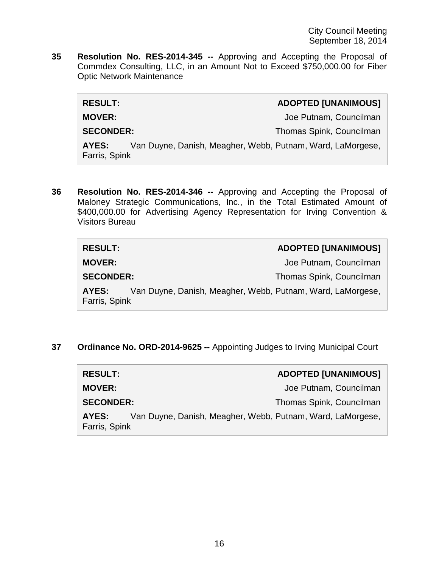**35 Resolution No. RES-2014-345 --** Approving and Accepting the Proposal of Commdex Consulting, LLC, in an Amount Not to Exceed \$750,000.00 for Fiber Optic Network Maintenance

| <b>RESULT:</b>                                                                       | <b>ADOPTED [UNANIMOUS]</b> |
|--------------------------------------------------------------------------------------|----------------------------|
| <b>MOVER:</b>                                                                        | Joe Putnam, Councilman     |
| <b>SECONDER:</b>                                                                     | Thomas Spink, Councilman   |
| Van Duyne, Danish, Meagher, Webb, Putnam, Ward, LaMorgese,<br>AYES:<br>Farris, Spink |                            |

**36 Resolution No. RES-2014-346 --** Approving and Accepting the Proposal of Maloney Strategic Communications, Inc., in the Total Estimated Amount of \$400,000.00 for Advertising Agency Representation for Irving Convention & Visitors Bureau

| <b>RESULT:</b>                                                                       | <b>ADOPTED [UNANIMOUS]</b> |
|--------------------------------------------------------------------------------------|----------------------------|
| <b>MOVER:</b>                                                                        | Joe Putnam, Councilman     |
| <b>SECONDER:</b>                                                                     | Thomas Spink, Councilman   |
| Van Duyne, Danish, Meagher, Webb, Putnam, Ward, LaMorgese,<br>AYES:<br>Farris, Spink |                            |

**37 Ordinance No. ORD-2014-9625 --** Appointing Judges to Irving Municipal Court

| <b>RESULT:</b>         | <b>ADOPTED [UNANIMOUS]</b>                                 |
|------------------------|------------------------------------------------------------|
| <b>MOVER:</b>          | Joe Putnam, Councilman                                     |
| <b>SECONDER:</b>       | Thomas Spink, Councilman                                   |
| AYES:<br>Farris, Spink | Van Duyne, Danish, Meagher, Webb, Putnam, Ward, LaMorgese, |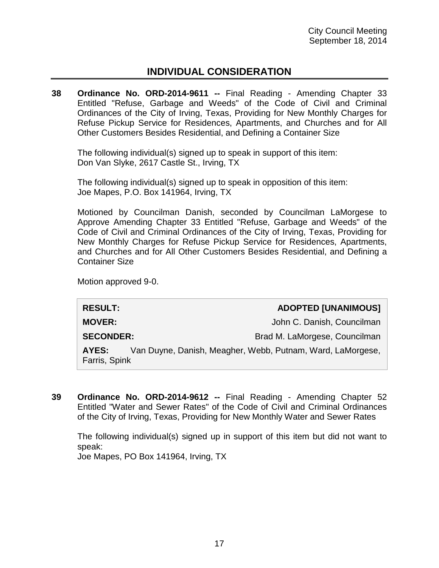# **INDIVIDUAL CONSIDERATION**

**38 Ordinance No. ORD-2014-9611 --** Final Reading - Amending Chapter 33 Entitled "Refuse, Garbage and Weeds" of the Code of Civil and Criminal Ordinances of the City of Irving, Texas, Providing for New Monthly Charges for Refuse Pickup Service for Residences, Apartments, and Churches and for All Other Customers Besides Residential, and Defining a Container Size

The following individual(s) signed up to speak in support of this item: Don Van Slyke, 2617 Castle St., Irving, TX

The following individual(s) signed up to speak in opposition of this item: Joe Mapes, P.O. Box 141964, Irving, TX

Motioned by Councilman Danish, seconded by Councilman LaMorgese to Approve Amending Chapter 33 Entitled "Refuse, Garbage and Weeds" of the Code of Civil and Criminal Ordinances of the City of Irving, Texas, Providing for New Monthly Charges for Refuse Pickup Service for Residences, Apartments, and Churches and for All Other Customers Besides Residential, and Defining a Container Size

Motion approved 9-0.

| <b>ADOPTED [UNANIMOUS]</b>                                 |
|------------------------------------------------------------|
| John C. Danish, Councilman                                 |
| Brad M. LaMorgese, Councilman                              |
| Van Duyne, Danish, Meagher, Webb, Putnam, Ward, LaMorgese, |
|                                                            |

**39 Ordinance No. ORD-2014-9612 --** Final Reading - Amending Chapter 52 Entitled "Water and Sewer Rates" of the Code of Civil and Criminal Ordinances of the City of Irving, Texas, Providing for New Monthly Water and Sewer Rates

The following individual(s) signed up in support of this item but did not want to speak:

Joe Mapes, PO Box 141964, Irving, TX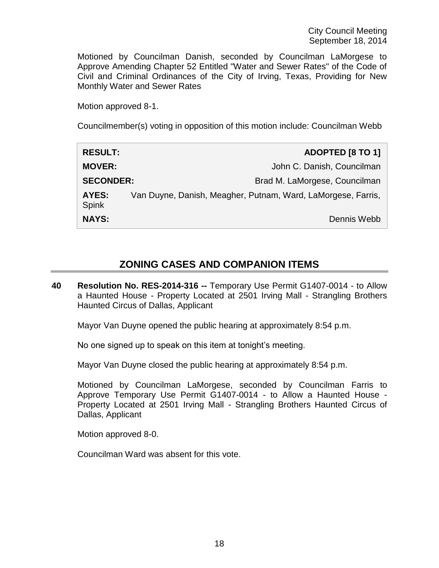Motioned by Councilman Danish, seconded by Councilman LaMorgese to Approve Amending Chapter 52 Entitled "Water and Sewer Rates" of the Code of Civil and Criminal Ordinances of the City of Irving, Texas, Providing for New Monthly Water and Sewer Rates

Motion approved 8-1.

Councilmember(s) voting in opposition of this motion include: Councilman Webb

| <b>RESULT:</b>        | ADOPTED [8 TO 1]                                             |
|-----------------------|--------------------------------------------------------------|
| <b>MOVER:</b>         | John C. Danish, Councilman                                   |
| <b>SECONDER:</b>      | Brad M. LaMorgese, Councilman                                |
| AYES:<br><b>Spink</b> | Van Duyne, Danish, Meagher, Putnam, Ward, LaMorgese, Farris, |
| <b>NAYS:</b>          | Dennis Webb                                                  |

# **ZONING CASES AND COMPANION ITEMS**

**40 Resolution No. RES-2014-316 --** Temporary Use Permit G1407-0014 - to Allow a Haunted House - Property Located at 2501 Irving Mall - Strangling Brothers Haunted Circus of Dallas, Applicant

Mayor Van Duyne opened the public hearing at approximately 8:54 p.m.

No one signed up to speak on this item at tonight's meeting.

Mayor Van Duyne closed the public hearing at approximately 8:54 p.m.

Motioned by Councilman LaMorgese, seconded by Councilman Farris to Approve Temporary Use Permit G1407-0014 - to Allow a Haunted House - Property Located at 2501 Irving Mall - Strangling Brothers Haunted Circus of Dallas, Applicant

Motion approved 8-0.

Councilman Ward was absent for this vote.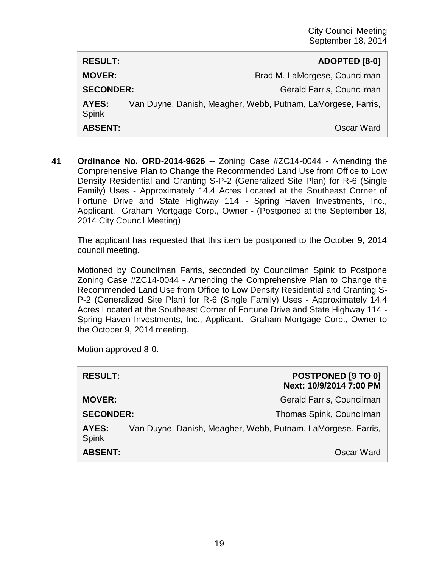| <b>RESULT:</b>               | ADOPTED [8-0]                                                |
|------------------------------|--------------------------------------------------------------|
| <b>MOVER:</b>                | Brad M. LaMorgese, Councilman                                |
| <b>SECONDER:</b>             | Gerald Farris, Councilman                                    |
| <b>AYES:</b><br><b>Spink</b> | Van Duyne, Danish, Meagher, Webb, Putnam, LaMorgese, Farris, |
| <b>ABSENT:</b>               | Oscar Ward                                                   |

**41 Ordinance No. ORD-2014-9626 --** Zoning Case #ZC14-0044 - Amending the Comprehensive Plan to Change the Recommended Land Use from Office to Low Density Residential and Granting S-P-2 (Generalized Site Plan) for R-6 (Single Family) Uses - Approximately 14.4 Acres Located at the Southeast Corner of Fortune Drive and State Highway 114 - Spring Haven Investments, Inc., Applicant. Graham Mortgage Corp., Owner - (Postponed at the September 18, 2014 City Council Meeting)

The applicant has requested that this item be postponed to the October 9, 2014 council meeting.

Motioned by Councilman Farris, seconded by Councilman Spink to Postpone Zoning Case #ZC14-0044 - Amending the Comprehensive Plan to Change the Recommended Land Use from Office to Low Density Residential and Granting S-P-2 (Generalized Site Plan) for R-6 (Single Family) Uses - Approximately 14.4 Acres Located at the Southeast Corner of Fortune Drive and State Highway 114 - Spring Haven Investments, Inc., Applicant. Graham Mortgage Corp., Owner to the October 9, 2014 meeting.

Motion approved 8-0.

| <b>RESULT:</b>        |                                                              | POSTPONED [9 TO 0]<br>Next: 10/9/2014 7:00 PM |
|-----------------------|--------------------------------------------------------------|-----------------------------------------------|
| <b>MOVER:</b>         |                                                              | Gerald Farris, Councilman                     |
| <b>SECONDER:</b>      |                                                              | Thomas Spink, Councilman                      |
| AYES:<br><b>Spink</b> | Van Duyne, Danish, Meagher, Webb, Putnam, LaMorgese, Farris, |                                               |
| <b>ABSENT:</b>        |                                                              | Oscar Ward                                    |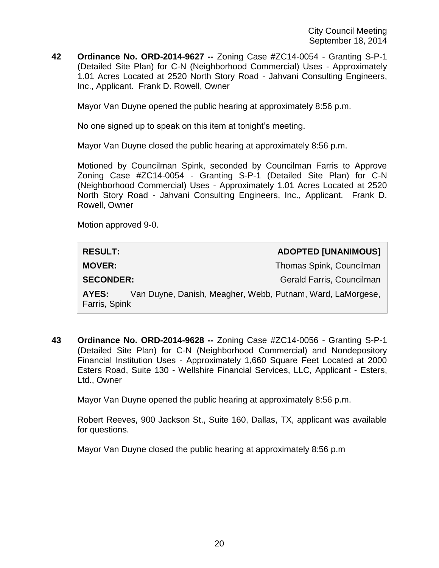**42 Ordinance No. ORD-2014-9627 --** Zoning Case #ZC14-0054 - Granting S-P-1 (Detailed Site Plan) for C-N (Neighborhood Commercial) Uses - Approximately 1.01 Acres Located at 2520 North Story Road - Jahvani Consulting Engineers, Inc., Applicant. Frank D. Rowell, Owner

Mayor Van Duyne opened the public hearing at approximately 8:56 p.m.

No one signed up to speak on this item at tonight's meeting.

Mayor Van Duyne closed the public hearing at approximately 8:56 p.m.

Motioned by Councilman Spink, seconded by Councilman Farris to Approve Zoning Case #ZC14-0054 - Granting S-P-1 (Detailed Site Plan) for C-N (Neighborhood Commercial) Uses - Approximately 1.01 Acres Located at 2520 North Story Road - Jahvani Consulting Engineers, Inc., Applicant. Frank D. Rowell, Owner

Motion approved 9-0.

| <b>RESULT:</b>                                                                       | <b>ADOPTED [UNANIMOUS]</b> |  |
|--------------------------------------------------------------------------------------|----------------------------|--|
| <b>MOVER:</b>                                                                        | Thomas Spink, Councilman   |  |
| <b>SECONDER:</b>                                                                     | Gerald Farris, Councilman  |  |
| Van Duyne, Danish, Meagher, Webb, Putnam, Ward, LaMorgese,<br>AYES:<br>Farris, Spink |                            |  |

**43 Ordinance No. ORD-2014-9628 --** Zoning Case #ZC14-0056 - Granting S-P-1 (Detailed Site Plan) for C-N (Neighborhood Commercial) and Nondepository Financial Institution Uses - Approximately 1,660 Square Feet Located at 2000 Esters Road, Suite 130 - Wellshire Financial Services, LLC, Applicant - Esters, Ltd., Owner

Mayor Van Duyne opened the public hearing at approximately 8:56 p.m.

Robert Reeves, 900 Jackson St., Suite 160, Dallas, TX, applicant was available for questions.

Mayor Van Duyne closed the public hearing at approximately 8:56 p.m